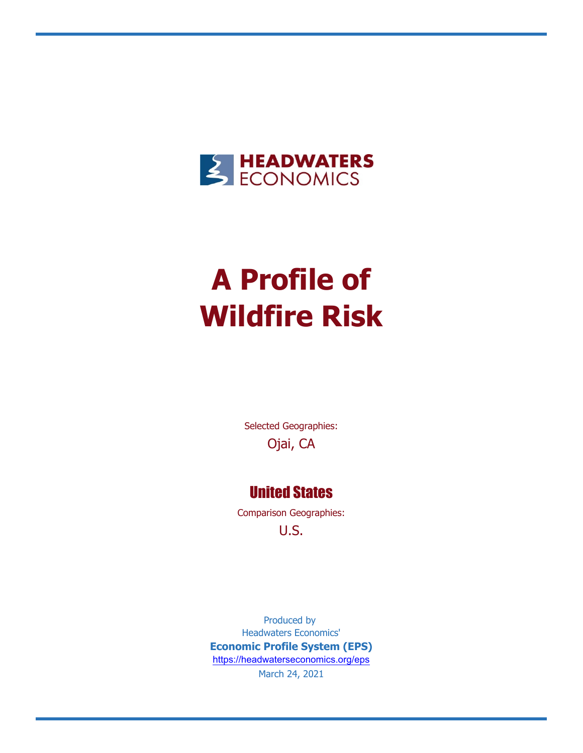

# **A Profile of Wildfire Risk**

Selected Geographies: Ojai, CA

### United States

Comparison Geographies: U.S.

Produced by Headwaters Economics' **Economic Profile System (EPS)** <https://headwaterseconomics.org/eps> March 24, 2021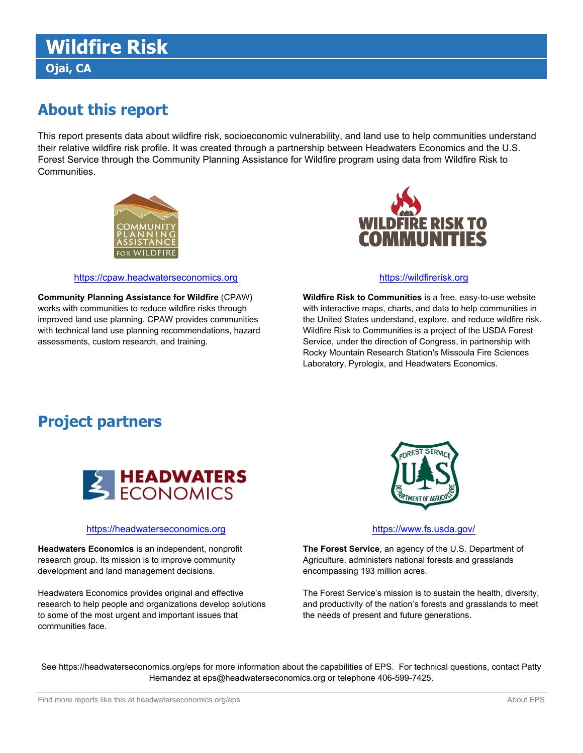## **Wildfire Risk Ojai, CA**

## **About this report**

This report presents data about wildfire risk, socioeconomic vulnerability, and land use to help communities understand their relative wildfire risk profile. It was created through a partnership between Headwaters Economics and the U.S. Forest Service through the Community Planning Assistance for Wildfire program using data from Wildfire Risk to Communities.





#### [https://cpaw.headwaterseconomics.org](https://cpaw.headwaterseconomics.org/) [https://wildfirerisk.org](https://wildfirerisk.org/) https://wildfirerisk.org

**Wildfire Risk to Communities** is a free, easy-to-use website with interactive maps, charts, and data to help communities in the United States understand, explore, and reduce wildfire risk. Wildfire Risk to Communities is a project of the USDA Forest Service, under the direction of Congress, in partnership with Rocky Mountain Research Station's Missoula Fire Sciences Laboratory, Pyrologix, and Headwaters Economics.

**Community Planning Assistance for Wildfire** (CPAW) works with communities to reduce wildfire risks through improved land use planning. CPAW provides communities with technical land use planning recommendations, hazard assessments, custom research, and training.

### **Project partners**



#### [https://headwaterseconomics.org](https://headwaterseconomics.org/) <https://www.fs.usda.gov/>

**Headwaters Economics** is an independent, nonprofit research group. Its mission is to improve community development and land management decisions.

Headwaters Economics provides original and effective research to help people and organizations develop solutions to some of the most urgent and important issues that communities face.



**The Forest Service**, an agency of the U.S. Department of Agriculture, administers national forests and grasslands encompassing 193 million acres.

The Forest Service's mission is to sustain the health, diversity, and productivity of the nation's forests and grasslands to meet the needs of present and future generations.

See https://headwaterseconomics.org/eps for more information about the capabilities of EPS. For technical questions, contact Patty Hernandez at eps@headwaterseconomics.org or telephone 406-599-7425.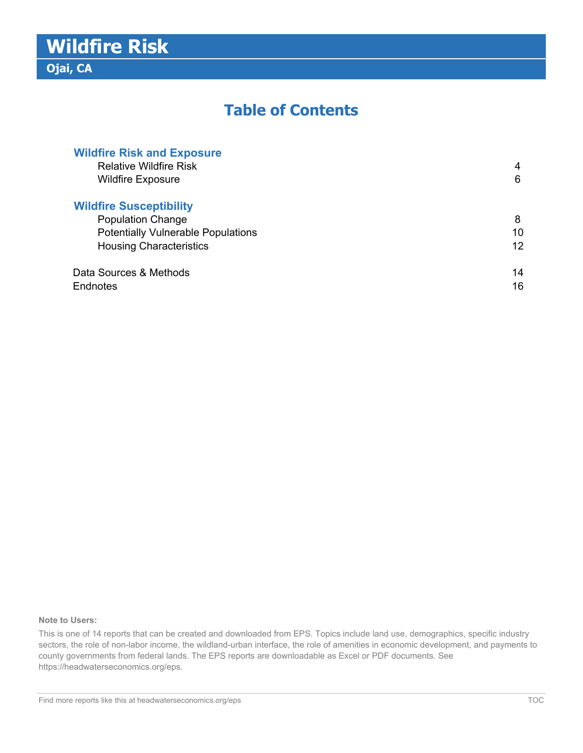### **Table of Contents**

| <b>Wildfire Risk and Exposure</b>         |    |
|-------------------------------------------|----|
| <b>Relative Wildfire Risk</b>             | 4  |
| <b>Wildfire Exposure</b>                  | 6  |
| <b>Wildfire Susceptibility</b>            |    |
| <b>Population Change</b>                  | 8  |
| <b>Potentially Vulnerable Populations</b> | 10 |
| <b>Housing Characteristics</b>            | 12 |
| Data Sources & Methods                    | 14 |
| Endnotes                                  | 16 |

#### **Note to Users:**

This is one of 14 reports that can be created and downloaded from EPS. Topics include land use, demographics, specific industry sectors, the role of non-labor income, the wildland-urban interface, the role of amenities in economic development, and payments to county governments from federal lands. The EPS reports are downloadable as Excel or PDF documents. See https://headwaterseconomics.org/eps.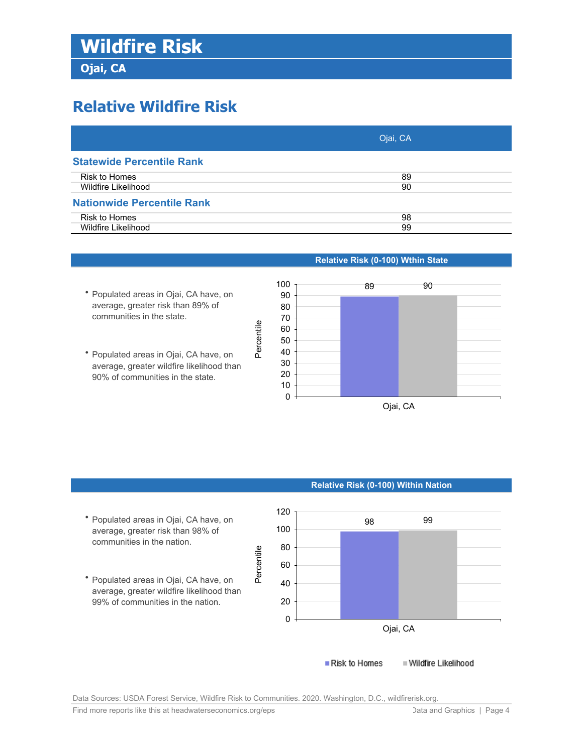**Ojai, CA**

## **Relative Wildfire Risk**

|                                   | Ojai, CA |
|-----------------------------------|----------|
| <b>Statewide Percentile Rank</b>  |          |
| Risk to Homes                     | 89       |
| Wildfire Likelihood               | 90       |
| <b>Nationwide Percentile Rank</b> |          |
| Risk to Homes                     | 98       |
| Wildfire Likelihood               | 99       |

- **•** Populated areas in Ojai, CA have, on average, greater risk than 89% of communities in the state.
- **•** Populated areas in Ojai, CA have, on average, greater wildfire likelihood than 90% of communities in the state.

### **Relative Risk (0-100) Wthin State**



### **•** Populated areas in Ojai, CA have, on average, greater risk than 98% of

**•** Populated areas in Ojai, CA have, on average, greater wildfire likelihood than 99% of communities in the nation.

communities in the nation.



**Relative Risk (0-100) Within Nation**

Data Sources: USDA Forest Service, Wildfire Risk to Communities. 2020. Washington, D.C., wildfirerisk.org.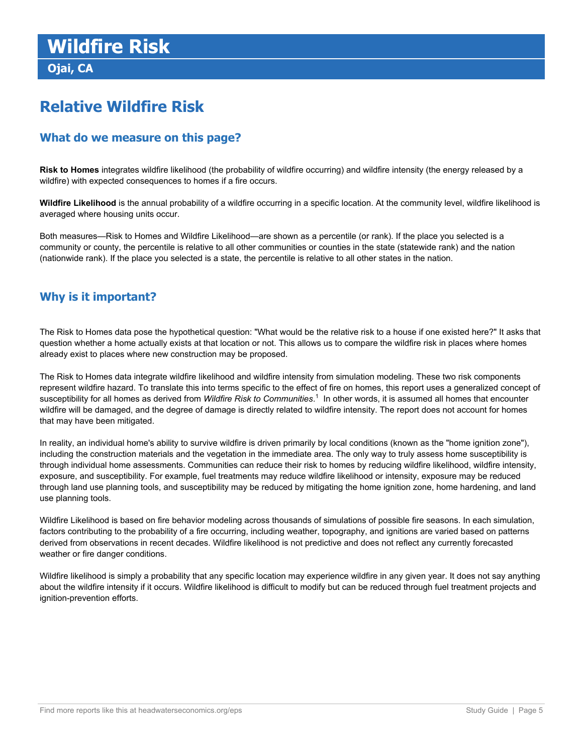**Ojai, CA**

## **Relative Wildfire Risk**

### **What do we measure on this page?**

**Risk to Homes** integrates wildfire likelihood (the probability of wildfire occurring) and wildfire intensity (the energy released by a wildfire) with expected consequences to homes if a fire occurs.

**Wildfire Likelihood** is the annual probability of a wildfire occurring in a specific location. At the community level, wildfire likelihood is averaged where housing units occur.

Both measures—Risk to Homes and Wildfire Likelihood—are shown as a percentile (or rank). If the place you selected is a community or county, the percentile is relative to all other communities or counties in the state (statewide rank) and the nation (nationwide rank). If the place you selected is a state, the percentile is relative to all other states in the nation.

### **Why is it important?**

The Risk to Homes data pose the hypothetical question: "What would be the relative risk to a house if one existed here?" It asks that question whether a home actually exists at that location or not. This allows us to compare the wildfire risk in places where homes already exist to places where new construction may be proposed.

The Risk to Homes data integrate wildfire likelihood and wildfire intensity from simulation modeling. These two risk components represent wildfire hazard. To translate this into terms specific to the effect of fire on homes, this report uses a generalized concept of susceptibility for all homes as derived from *Wildfire Risk to Communities*. 1 In other words, it is assumed all homes that encounter wildfire will be damaged, and the degree of damage is directly related to wildfire intensity. The report does not account for homes that may have been mitigated.

In reality, an individual home's ability to survive wildfire is driven primarily by local conditions (known as the "home ignition zone"), including the construction materials and the vegetation in the immediate area. The only way to truly assess home susceptibility is through individual home assessments. Communities can reduce their risk to homes by reducing wildfire likelihood, wildfire intensity, exposure, and susceptibility. For example, fuel treatments may reduce wildfire likelihood or intensity, exposure may be reduced through land use planning tools, and susceptibility may be reduced by mitigating the home ignition zone, home hardening, and land use planning tools.

Wildfire Likelihood is based on fire behavior modeling across thousands of simulations of possible fire seasons. In each simulation, factors contributing to the probability of a fire occurring, including weather, topography, and ignitions are varied based on patterns derived from observations in recent decades. Wildfire likelihood is not predictive and does not reflect any currently forecasted weather or fire danger conditions.

Wildfire likelihood is simply a probability that any specific location may experience wildfire in any given year. It does not say anything about the wildfire intensity if it occurs. Wildfire likelihood is difficult to modify but can be reduced through fuel treatment projects and ignition-prevention efforts.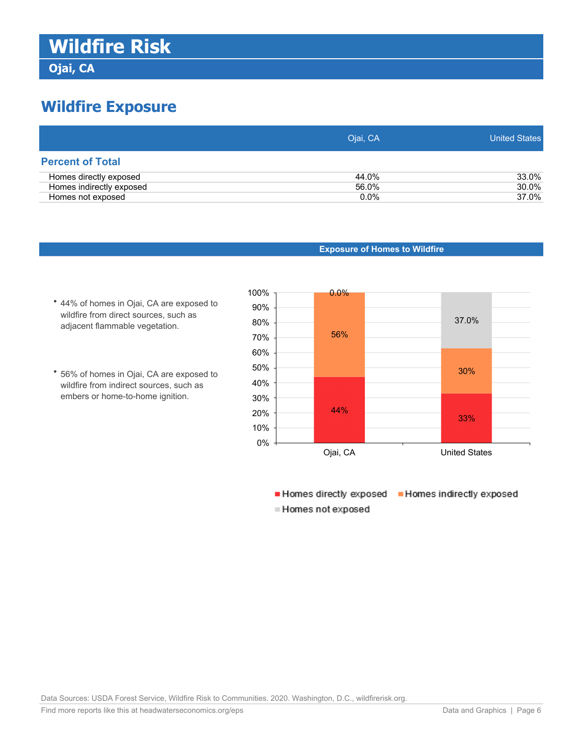**Ojai, CA**

## **Wildfire Exposure**

|                          | Ojai, CA | United States |
|--------------------------|----------|---------------|
| <b>Percent of Total</b>  |          |               |
| Homes directly exposed   | 44.0%    | 33.0%         |
| Homes indirectly exposed | 56.0%    | 30.0%         |
| Homes not exposed        | $0.0\%$  | 37.0%         |



- **•** 44% of homes in Ojai, CA are exposed to wildfire from direct sources, such as adjacent flammable vegetation.
- **•** 56% of homes in Ojai, CA are exposed to wildfire from indirect sources, such as embers or home-to-home ignition.



Homes directly exposed Homes indirectly exposed ■ Homes not exposed

Data Sources: USDA Forest Service, Wildfire Risk to Communities. 2020. Washington, D.C., wildfirerisk.org.

Find more reports like this at [headwaterseconomics.org/eps](https://headwaterseconomics.org/tools/economic-profile-system/about/) **Data and Graphics | Page 6** Data and Graphics | Page 6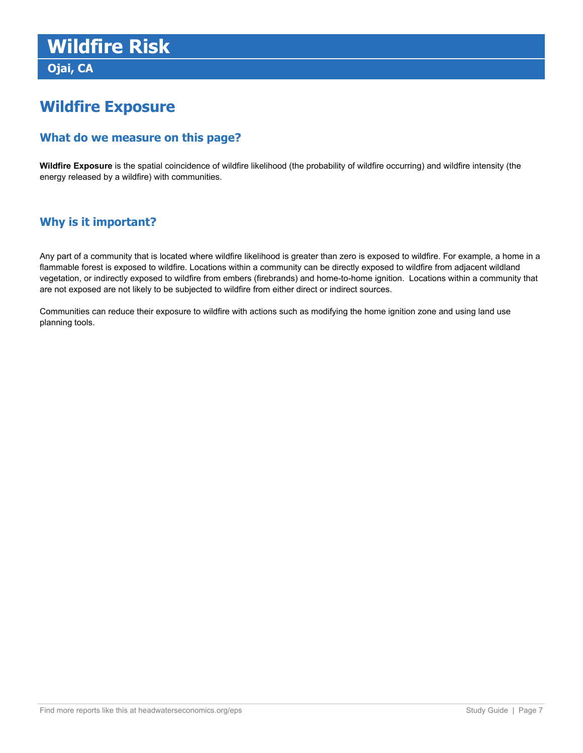**Ojai, CA**

### **Wildfire Exposure**

### **What do we measure on this page?**

**Wildfire Exposure** is the spatial coincidence of wildfire likelihood (the probability of wildfire occurring) and wildfire intensity (the energy released by a wildfire) with communities.

### **Why is it important?**

Any part of a community that is located where wildfire likelihood is greater than zero is exposed to wildfire. For example, a home in a flammable forest is exposed to wildfire. Locations within a community can be directly exposed to wildfire from adjacent wildland vegetation, or indirectly exposed to wildfire from embers (firebrands) and home-to-home ignition. Locations within a community that are not exposed are not likely to be subjected to wildfire from either direct or indirect sources.

Communities can reduce their exposure to wildfire with actions such as modifying the home ignition zone and using land use planning tools.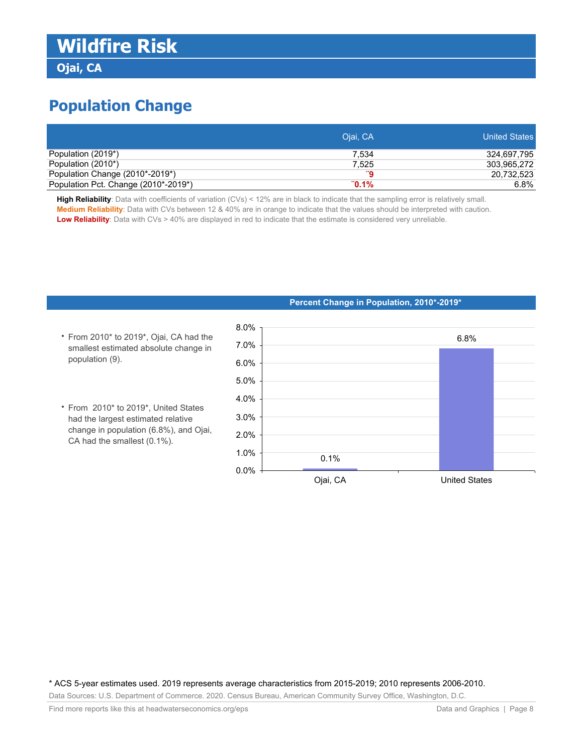**Ojai, CA**

## **Population Change**

|                                      | Ojai, CA | <b>United States</b> |
|--------------------------------------|----------|----------------------|
| Population (2019*)                   | 7.534    | 324.697.795          |
| Population (2010*)                   | 7.525    | 303.965.272          |
| Population Change (2010*-2019*)      |          | 20,732,523           |
| Population Pct. Change (2010*-2019*) | $"0.1\%$ | 6.8%                 |

**High Reliability**: Data with coefficients of variation (CVs) < 12% are in black to indicate that the sampling error is relatively small. **Medium Reliability**: Data with CVs between 12 & 40% are in orange to indicate that the values should be interpreted with caution. **Low Reliability**: Data with CVs > 40% are displayed in red to indicate that the estimate is considered very unreliable.

- From 2010\* to 2019\*, Ojai, CA had the smallest estimated absolute change in population (9).
- From 2010\* to 2019\*, United States had the largest estimated relative change in population (6.8%), and Ojai, CA had the smallest (0.1%).

#### **Percent Change in Population, 2010\*-2019\***



\* ACS 5-year estimates used. 2019 represents average characteristics from 2015-2019; 2010 represents 2006-2010.

Data Sources: U.S. Department of Commerce. 2020. Census Bureau, American Community Survey Office, Washington, D.C.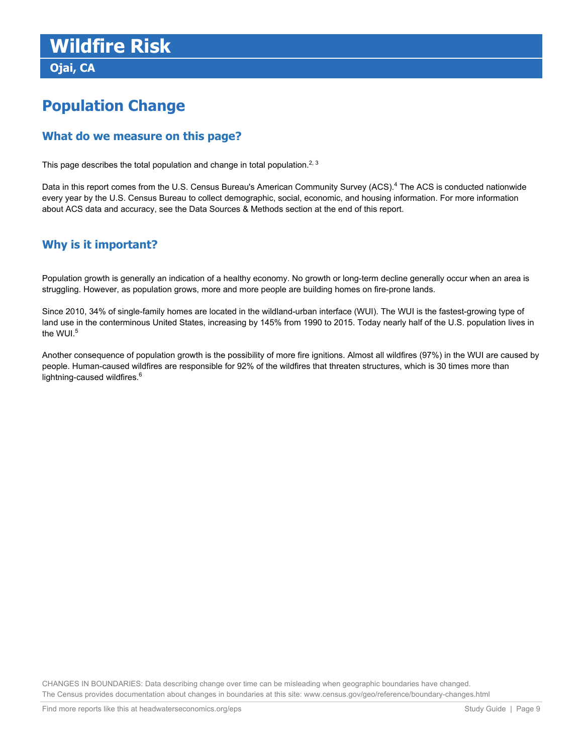**Ojai, CA**

## **Population Change**

### **What do we measure on this page?**

This page describes the total population and change in total population.<sup>2, 3</sup>

Data in this report comes from the U.S. Census Bureau's American Community Survey (ACS).<sup>4</sup> The ACS is conducted nationwide every year by the U.S. Census Bureau to collect demographic, social, economic, and housing information. For more information about ACS data and accuracy, see the Data Sources & Methods section at the end of this report.

### **Why is it important?**

Population growth is generally an indication of a healthy economy. No growth or long-term decline generally occur when an area is struggling. However, as population grows, more and more people are building homes on fire-prone lands.

Since 2010, 34% of single-family homes are located in the wildland-urban interface (WUI). The WUI is the fastest-growing type of land use in the conterminous United States, increasing by 145% from 1990 to 2015. Today nearly half of the U.S. population lives in the WUI. $5$ 

Another consequence of population growth is the possibility of more fire ignitions. Almost all wildfires (97%) in the WUI are caused by people. Human-caused wildfires are responsible for 92% of the wildfires that threaten structures, which is 30 times more than lightning-caused wildfires.<sup>6</sup>

CHANGES IN BOUNDARIES: Data describing change over time can be misleading when geographic boundaries have changed. The Census provides documentation about changes in boundaries at this site: www.census.gov/geo/reference/boundary-changes.html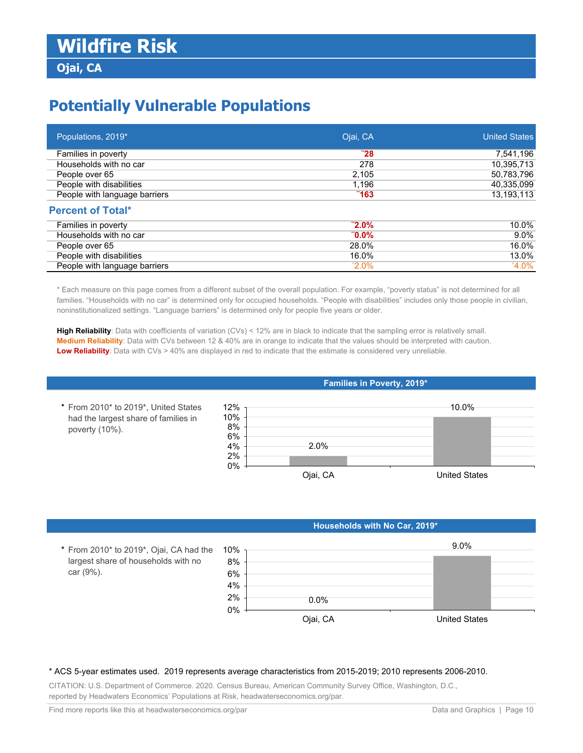## **Potentially Vulnerable Populations**

| Populations, 2019*            | Ojai, CA | <b>United States</b> |
|-------------------------------|----------|----------------------|
| Families in poverty           | "28      | 7,541,196            |
| Households with no car        | 278      | 10,395,713           |
| People over 65                | 2,105    | 50,783,796           |
| People with disabilities      | 1,196    | 40,335,099           |
| People with language barriers | "163"    | 13,193,113           |
| <b>Percent of Total*</b>      |          |                      |
| Families in poverty           | $"2.0\%$ | 10.0%                |
| Households with no car        | $"0.0\%$ | $9.0\%$              |
| People over 65                | 28.0%    | 16.0%                |
| People with disabilities      | 16.0%    | 13.0%                |
| People with language barriers | $2.0\%$  | $4.0\%$              |

\* Each measure on this page comes from a different subset of the overall population. For example, "poverty status" is not determined for all families. "Households with no car" is determined only for occupied households. "People with disabilities" includes only those people in civilian, noninstitutionalized settings. "Language barriers" is determined only for people five years or older.

**High Reliability**: Data with coefficients of variation (CVs) < 12% are in black to indicate that the sampling error is relatively small. **Medium Reliability**: Data with CVs between 12 & 40% are in orange to indicate that the values should be interpreted with caution. **Low Reliability**: Data with CVs > 40% are displayed in red to indicate that the estimate is considered very unreliable.

#### **Families in Poverty, 2019\***



#### **Households with No Car, 2019\***



#### \* ACS 5-year estimates used. 2019 represents average characteristics from 2015-2019; 2010 represents 2006-2010.

CITATION: U.S. Department of Commerce. 2020. Census Bureau, American Community Survey Office, Washington, D.C., reported by Headwaters Economics' Populations at Risk, headwaterseconomics.org/par.

**•** From 2010\* to 2019\*, United States had the largest share of families in

poverty (10%).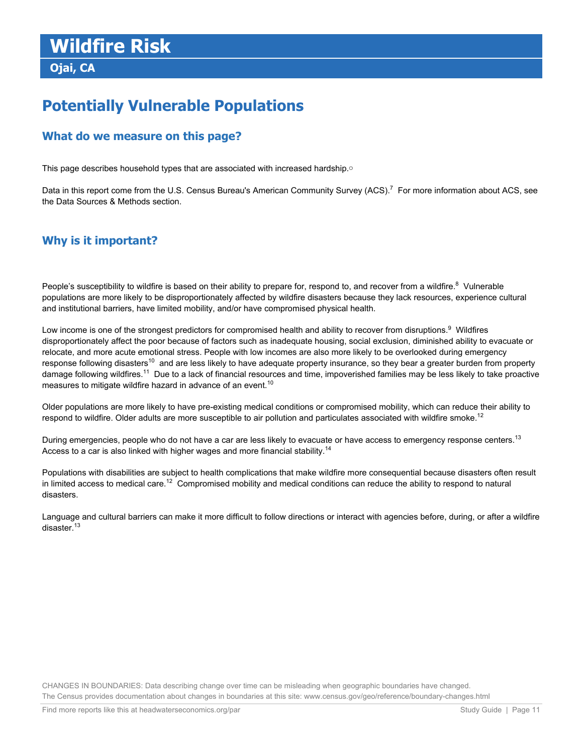**Ojai, CA**

## **Potentially Vulnerable Populations**

### **What do we measure on this page?**

This page describes household types that are associated with increased hardship.o

Data in this report come from the U.S. Census Bureau's American Community Survey (ACS).<sup>7</sup> For more information about ACS, see the Data Sources & Methods section.

### **Why is it important?**

People's susceptibility to wildfire is based on their ability to prepare for, respond to, and recover from a wildfire.<sup>8</sup> Vulnerable populations are more likely to be disproportionately affected by wildfire disasters because they lack resources, experience cultural and institutional barriers, have limited mobility, and/or have compromised physical health.

Low income is one of the strongest predictors for compromised health and ability to recover from disruptions. $^9$  Wildfires disproportionately affect the poor because of factors such as inadequate housing, social exclusion, diminished ability to evacuate or relocate, and more acute emotional stress. People with low incomes are also more likely to be overlooked during emergency response following disasters<sup>10</sup> and are less likely to have adequate property insurance, so they bear a greater burden from property damage following wildfires.<sup>11</sup> Due to a lack of financial resources and time, impoverished families may be less likely to take proactive measures to mitigate wildfire hazard in advance of an event.<sup>10</sup>

Older populations are more likely to have pre-existing medical conditions or compromised mobility, which can reduce their ability to respond to wildfire. Older adults are more susceptible to air pollution and particulates associated with wildfire smoke.<sup>12</sup>

During emergencies, people who do not have a car are less likely to evacuate or have access to emergency response centers.<sup>13</sup> Access to a car is also linked with higher wages and more financial stability.<sup>14</sup>

Populations with disabilities are subject to health complications that make wildfire more consequential because disasters often result in limited access to medical care.<sup>12</sup> Compromised mobility and medical conditions can reduce the ability to respond to natural disasters.

Language and cultural barriers can make it more difficult to follow directions or interact with agencies before, during, or after a wildfire disaster.<sup>13</sup>

CHANGES IN BOUNDARIES: Data describing change over time can be misleading when geographic boundaries have changed. The Census provides documentation about changes in boundaries at this site: www.census.gov/geo/reference/boundary-changes.html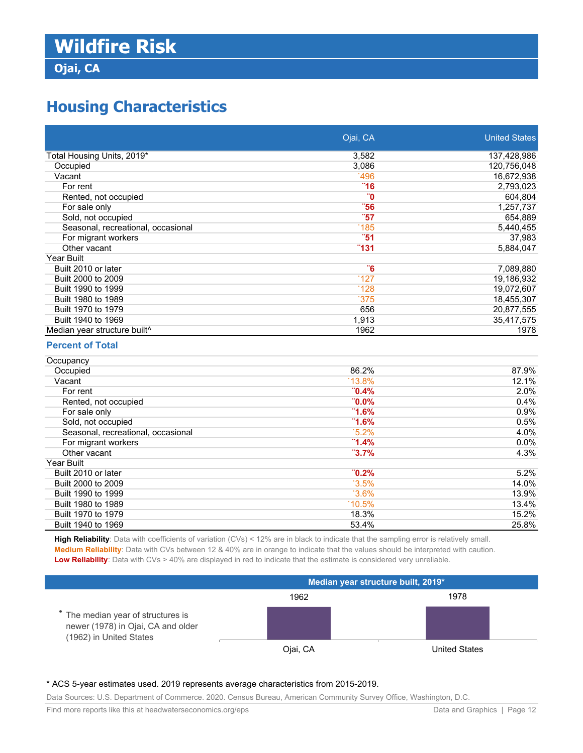### **Ojai, CA**

## **Housing Characteristics**

|                                    | Ojai, CA | <b>United States</b> |
|------------------------------------|----------|----------------------|
| Total Housing Units, 2019*         | 3,582    | 137,428,986          |
| Occupied                           | 3,086    | 120,756,048          |
| Vacant                             | 1496     | 16,672,938           |
| For rent                           | "16"     | 2,793,023            |
| Rented, not occupied               | 0"       | 604,804              |
| For sale only                      | "56"     | 1,257,737            |
| Sold, not occupied                 | "57      | 654,889              |
| Seasonal, recreational, occasional | 185      | 5,440,455            |
| For migrant workers                | "51      | 37,983               |
| Other vacant                       | "131"    | 5,884,047            |
| <b>Year Built</b>                  |          |                      |
| Built 2010 or later                | <b>6</b> | 7,089,880            |
| Built 2000 to 2009                 | 127      | 19,186,932           |
| Built 1990 to 1999                 | 128      | 19,072,607           |
| Built 1980 to 1989                 | 375      | 18,455,307           |
| Built 1970 to 1979                 | 656      | 20,877,555           |
| Built 1940 to 1969                 | 1,913    | 35,417,575           |
| Median year structure built^       | 1962     | 1978                 |

### **Percent of Total**

| Occupancy                          |          |         |
|------------------------------------|----------|---------|
| Occupied                           | 86.2%    | 87.9%   |
| Vacant                             | $13.8\%$ | 12.1%   |
| For rent                           | $0.4\%$  | 2.0%    |
| Rented, not occupied               | $"0.0\%$ | 0.4%    |
| For sale only                      | $-1.6\%$ | $0.9\%$ |
| Sold, not occupied                 | $-1.6\%$ | 0.5%    |
| Seasonal, recreational, occasional | $15.2\%$ | 4.0%    |
| For migrant workers                | $-1.4\%$ | $0.0\%$ |
| Other vacant                       | $"3.7\%$ | 4.3%    |
| <b>Year Built</b>                  |          |         |
| Built 2010 or later                | $"0.2\%$ | 5.2%    |
| Built 2000 to 2009                 | $3.5\%$  | 14.0%   |
| Built 1990 to 1999                 | $3.6\%$  | 13.9%   |
| Built 1980 to 1989                 | $10.5\%$ | 13.4%   |
| Built 1970 to 1979                 | 18.3%    | 15.2%   |
| Built 1940 to 1969                 | 53.4%    | 25.8%   |

**High Reliability**: Data with coefficients of variation (CVs) < 12% are in black to indicate that the sampling error is relatively small. **Medium Reliability**: Data with CVs between 12 & 40% are in orange to indicate that the values should be interpreted with caution. **Low Reliability**: Data with CVs > 40% are displayed in red to indicate that the estimate is considered very unreliable.

|                                                                                                     | Median year structure built, 2019* |                      |
|-----------------------------------------------------------------------------------------------------|------------------------------------|----------------------|
|                                                                                                     | 1962                               | 1978                 |
| • The median year of structures is<br>newer (1978) in Ojai, CA and older<br>(1962) in United States |                                    |                      |
|                                                                                                     | Ojai, CA                           | <b>United States</b> |

#### \* ACS 5-year estimates used. 2019 represents average characteristics from 2015-2019.

Data Sources: U.S. Department of Commerce. 2020. Census Bureau, American Community Survey Office, Washington, D.C.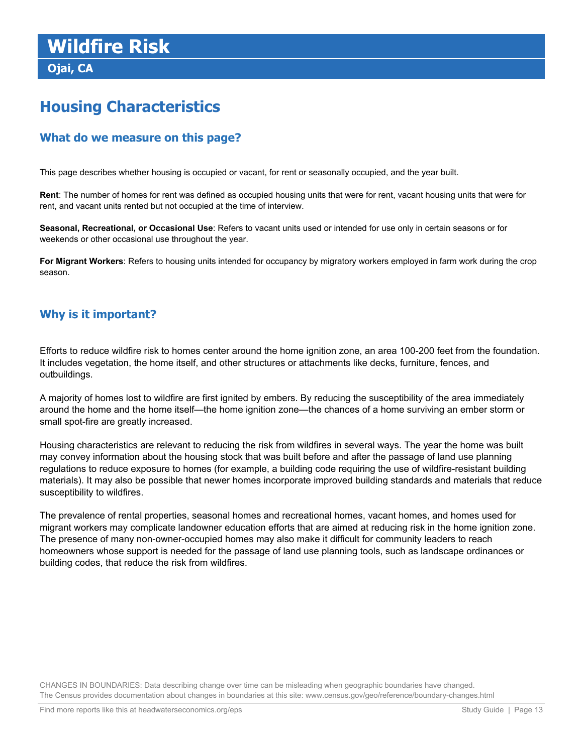**Ojai, CA**

## **Housing Characteristics**

### **What do we measure on this page?**

This page describes whether housing is occupied or vacant, for rent or seasonally occupied, and the year built.

**Rent**: The number of homes for rent was defined as occupied housing units that were for rent, vacant housing units that were for rent, and vacant units rented but not occupied at the time of interview.

**Seasonal, Recreational, or Occasional Use**: Refers to vacant units used or intended for use only in certain seasons or for weekends or other occasional use throughout the year.

**For Migrant Workers**: Refers to housing units intended for occupancy by migratory workers employed in farm work during the crop season.

### **Why is it important?**

Efforts to reduce wildfire risk to homes center around the home ignition zone, an area 100-200 feet from the foundation. It includes vegetation, the home itself, and other structures or attachments like decks, furniture, fences, and outbuildings.

A majority of homes lost to wildfire are first ignited by embers. By reducing the susceptibility of the area immediately around the home and the home itself—the home ignition zone—the chances of a home surviving an ember storm or small spot-fire are greatly increased.

Housing characteristics are relevant to reducing the risk from wildfires in several ways. The year the home was built may convey information about the housing stock that was built before and after the passage of land use planning regulations to reduce exposure to homes (for example, a building code requiring the use of wildfire-resistant building materials). It may also be possible that newer homes incorporate improved building standards and materials that reduce susceptibility to wildfires.

The prevalence of rental properties, seasonal homes and recreational homes, vacant homes, and homes used for migrant workers may complicate landowner education efforts that are aimed at reducing risk in the home ignition zone. The presence of many non-owner-occupied homes may also make it difficult for community leaders to reach homeowners whose support is needed for the passage of land use planning tools, such as landscape ordinances or building codes, that reduce the risk from wildfires.

CHANGES IN BOUNDARIES: Data describing change over time can be misleading when geographic boundaries have changed. The Census provides documentation about changes in boundaries at this site: www.census.gov/geo/reference/boundary-changes.html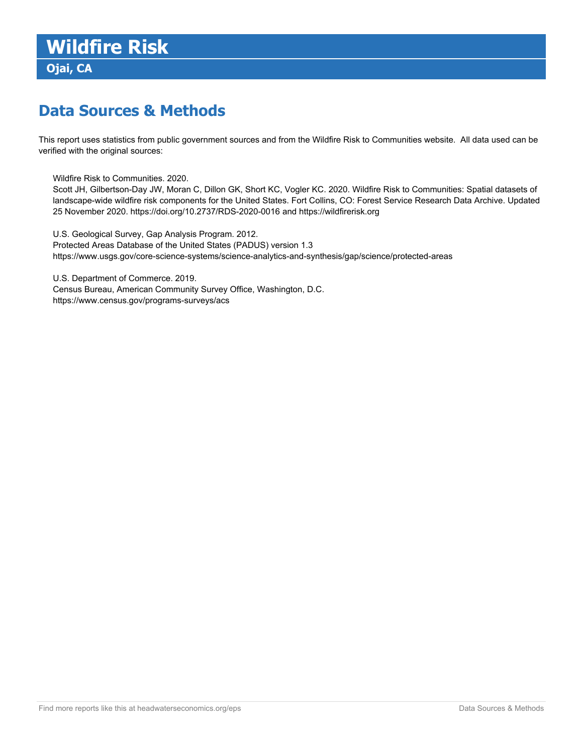## **Data Sources & Methods**

This report uses statistics from public government sources and from the Wildfire Risk to Communities website. All data used can be verified with the original sources:

Wildfire Risk to Communities. 2020.

Scott JH, Gilbertson-Day JW, Moran C, Dillon GK, Short KC, Vogler KC. 2020. Wildfire Risk to Communities: Spatial datasets of landscape-wide wildfire risk components for the United States. Fort Collins, CO: Forest Service Research Data Archive. Updated 25 November 2020. https://doi.org/10.2737/RDS-2020-0016 and https://wildfirerisk.org

U.S. Geological Survey, Gap Analysis Program. 2012. Protected Areas Database of the United States (PADUS) version 1.3 https://www.usgs.gov/core-science-systems/science-analytics-and-synthesis/gap/science/protected-areas

U.S. Department of Commerce. 2019.

Census Bureau, American Community Survey Office, Washington, D.C. https://www.census.gov/programs-surveys/acs